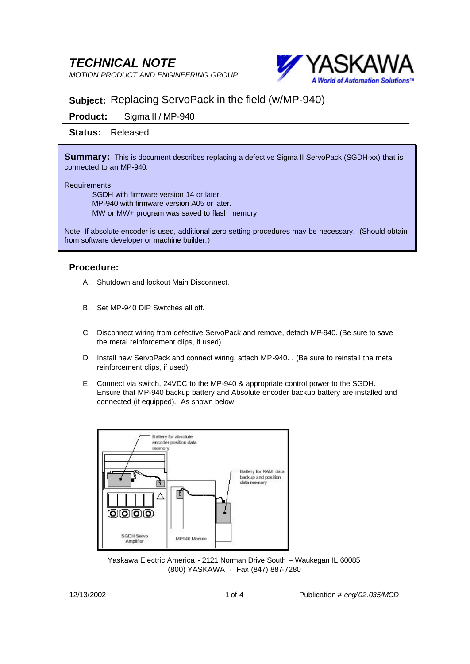## *TECHNICAL NOTE*

*MOTION PRODUCT AND ENGINEERING GROUP*



**Subject:** Replacing ServoPack in the field (w/MP-940)

**Product:** Sigma II / MP-940

## **Status:** Released

**Summary:** This is document describes replacing a defective Sigma II ServoPack (SGDH-xx) that is connected to an MP-940.

Requirements:

SGDH with firmware version 14 or later. MP-940 with firmware version A05 or later. MW or MW+ program was saved to flash memory.

Note: If absolute encoder is used, additional zero setting procedures may be necessary. (Should obtain from software developer or machine builder.)

## **Procedure:**

- A. Shutdown and lockout Main Disconnect.
- B. Set MP-940 DIP Switches all off.
- C. Disconnect wiring from defective ServoPack and remove, detach MP-940. (Be sure to save the metal reinforcement clips, if used)
- D. Install new ServoPack and connect wiring, attach MP-940. . (Be sure to reinstall the metal reinforcement clips, if used)
- E. Connect via switch, 24VDC to the MP-940 & appropriate control power to the SGDH. Ensure that MP-940 backup battery and Absolute encoder backup battery are installed and connected (if equipped). As shown below:



Yaskawa Electric America - 2121 Norman Drive South – Waukegan IL 60085 (800) YASKAWA - Fax (847) 887-7280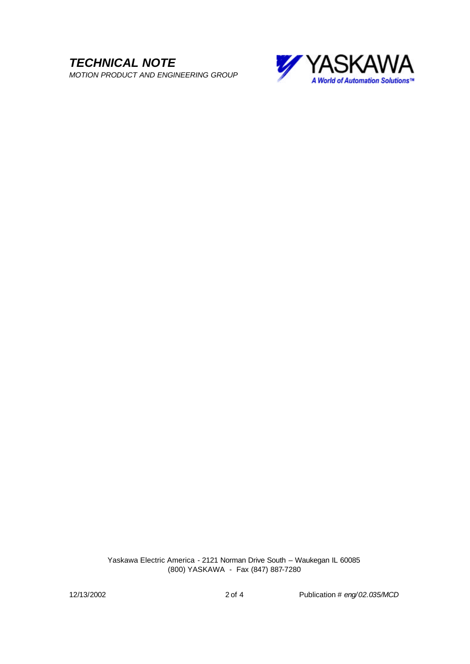## *TECHNICAL NOTE MOTION PRODUCT AND ENGINEERING GROUP*



Yaskawa Electric America - 2121 Norman Drive South – Waukegan IL 60085 (800) YASKAWA - Fax (847) 887-7280

12/13/2002 2 of 4Publication # *eng/02.035/MCD*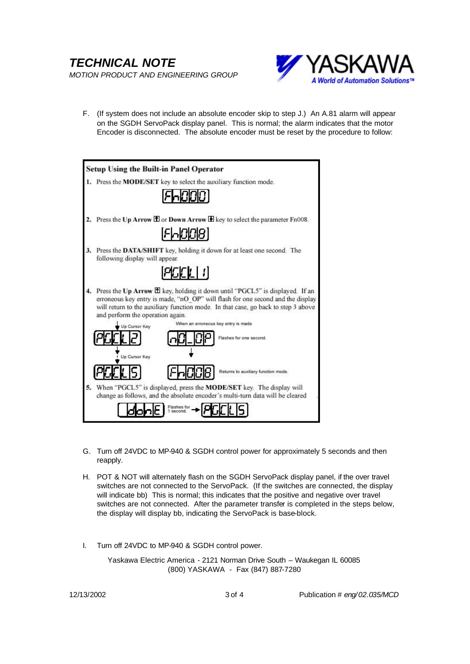

F. (If system does not include an absolute encoder skip to step J.) An A.81 alarm will appear on the SGDH ServoPack display panel. This is normal; the alarm indicates that the motor Encoder is disconnected. The absolute encoder must be reset by the procedure to follow:



- G. Turn off 24VDC to MP-940 & SGDH control power for approximately 5 seconds and then reapply.
- H. POT & NOT will alternately flash on the SGDH ServoPack display panel, if the over travel switches are not connected to the ServoPack. (If the switches are connected, the display will indicate bb) This is normal; this indicates that the positive and negative over travel switches are not connected. After the parameter transfer is completed in the steps below, the display will display bb, indicating the ServoPack is base-block.
- I. Turn off 24VDC to MP-940 & SGDH control power.

Yaskawa Electric America - 2121 Norman Drive South – Waukegan IL 60085 (800) YASKAWA - Fax (847) 887-7280